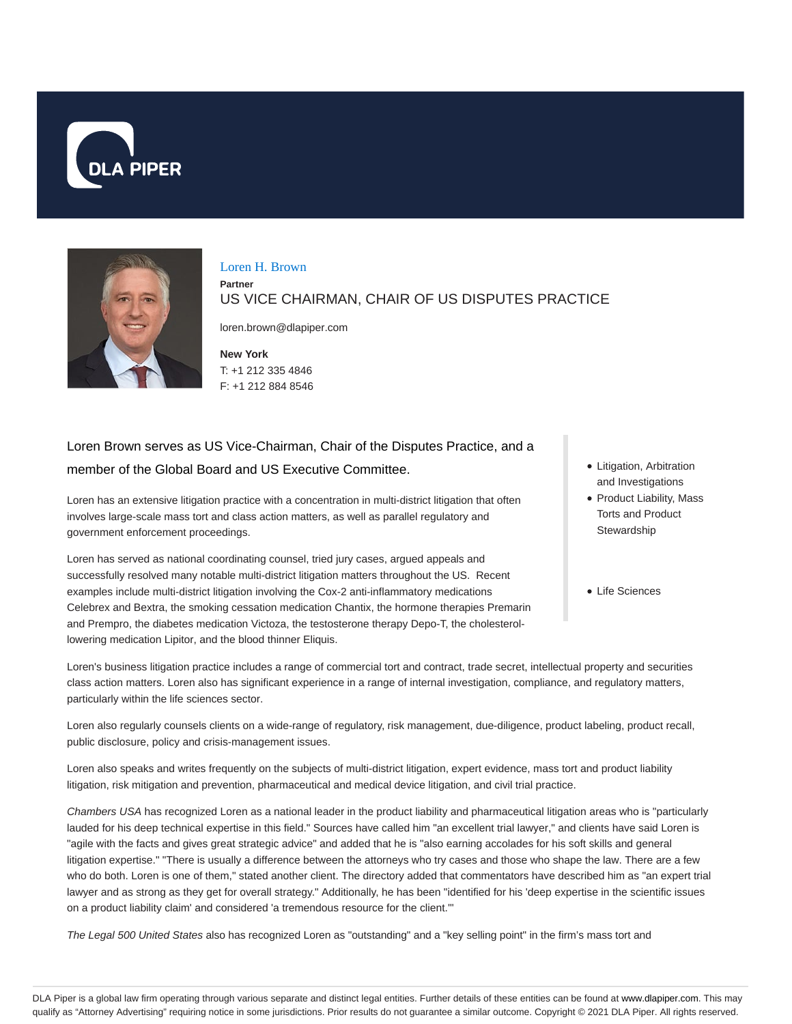



#### Loren H. Brown

**Partner**

US VICE CHAIRMAN, CHAIR OF US DISPUTES PRACTICE

loren.brown@dlapiper.com

**New York** T: +1 212 335 4846 F: +1 212 884 8546

# Loren Brown serves as US Vice-Chairman, Chair of the Disputes Practice, and a member of the Global Board and US Executive Committee.

Loren has an extensive litigation practice with a concentration in multi-district litigation that often involves large-scale mass tort and class action matters, as well as parallel regulatory and government enforcement proceedings.

Loren has served as national coordinating counsel, tried jury cases, argued appeals and successfully resolved many notable multi-district litigation matters throughout the US. Recent examples include multi-district litigation involving the Cox-2 anti-inflammatory medications Celebrex and Bextra, the smoking cessation medication Chantix, the hormone therapies Premarin and Prempro, the diabetes medication Victoza, the testosterone therapy Depo-T, the cholesterollowering medication Lipitor, and the blood thinner Eliquis.

- Litigation, Arbitration and Investigations
- Product Liability, Mass Torts and Product **Stewardship**
- Life Sciences

Loren's business litigation practice includes a range of commercial tort and contract, trade secret, intellectual property and securities class action matters. Loren also has significant experience in a range of internal investigation, compliance, and regulatory matters, particularly within the life sciences sector.

Loren also regularly counsels clients on a wide-range of regulatory, risk management, due-diligence, product labeling, product recall, public disclosure, policy and crisis-management issues.

Loren also speaks and writes frequently on the subjects of multi-district litigation, expert evidence, mass tort and product liability litigation, risk mitigation and prevention, pharmaceutical and medical device litigation, and civil trial practice.

Chambers USA has recognized Loren as a national leader in the product liability and pharmaceutical litigation areas who is "particularly lauded for his deep technical expertise in this field." Sources have called him "an excellent trial lawyer," and clients have said Loren is "agile with the facts and gives great strategic advice" and added that he is "also earning accolades for his soft skills and general litigation expertise." "There is usually a difference between the attorneys who try cases and those who shape the law. There are a few who do both. Loren is one of them," stated another client. The directory added that commentators have described him as "an expert trial lawyer and as strong as they get for overall strategy." Additionally, he has been "identified for his 'deep expertise in the scientific issues on a product liability claim' and considered 'a tremendous resource for the client.'"

The Legal 500 United States also has recognized Loren as "outstanding" and a "key selling point" in the firm's mass tort and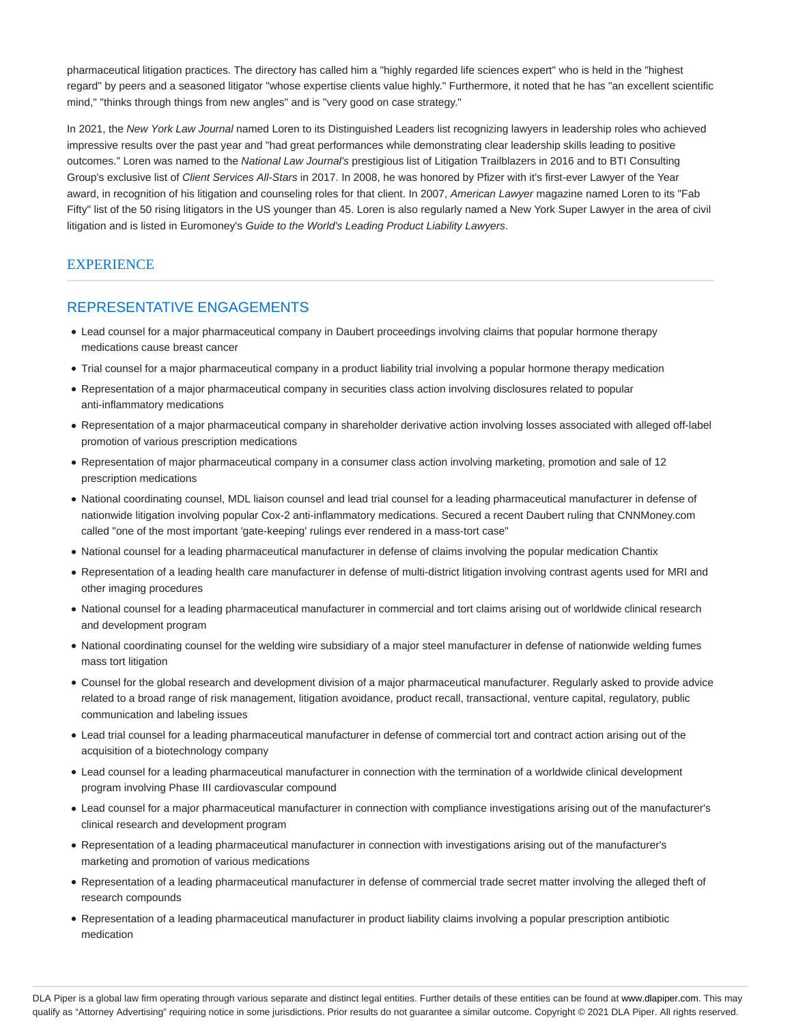pharmaceutical litigation practices. The directory has called him a "highly regarded life sciences expert" who is held in the "highest regard" by peers and a seasoned litigator "whose expertise clients value highly." Furthermore, it noted that he has "an excellent scientific mind," "thinks through things from new angles" and is "very good on case strategy."

In 2021, the New York Law Journal named Loren to its Distinguished Leaders list recognizing lawyers in leadership roles who achieved impressive results over the past year and "had great performances while demonstrating clear leadership skills leading to positive outcomes." Loren was named to the National Law Journal's prestigious list of Litigation Trailblazers in 2016 and to BTI Consulting Group's exclusive list of Client Services All-Stars in 2017. In 2008, he was honored by Pfizer with it's first-ever Lawyer of the Year award, in recognition of his litigation and counseling roles for that client. In 2007, American Lawyer magazine named Loren to its "Fab Fifty" list of the 50 rising litigators in the US younger than 45. Loren is also regularly named a New York Super Lawyer in the area of civil litigation and is listed in Euromoney's Guide to the World's Leading Product Liability Lawyers.

# **EXPERIENCE**

# REPRESENTATIVE ENGAGEMENTS

- Lead counsel for a major pharmaceutical company in Daubert proceedings involving claims that popular hormone therapy medications cause breast cancer
- Trial counsel for a major pharmaceutical company in a product liability trial involving a popular hormone therapy medication
- Representation of a major pharmaceutical company in securities class action involving disclosures related to popular anti-inflammatory medications
- Representation of a major pharmaceutical company in shareholder derivative action involving losses associated with alleged off-label promotion of various prescription medications
- Representation of major pharmaceutical company in a consumer class action involving marketing, promotion and sale of 12 prescription medications
- National coordinating counsel, MDL liaison counsel and lead trial counsel for a leading pharmaceutical manufacturer in defense of nationwide litigation involving popular Cox-2 anti-inflammatory medications. Secured a recent Daubert ruling that CNNMoney.com called "one of the most important 'gate-keeping' rulings ever rendered in a mass-tort case"
- National counsel for a leading pharmaceutical manufacturer in defense of claims involving the popular medication Chantix
- Representation of a leading health care manufacturer in defense of multi-district litigation involving contrast agents used for MRI and other imaging procedures
- National counsel for a leading pharmaceutical manufacturer in commercial and tort claims arising out of worldwide clinical research and development program
- National coordinating counsel for the welding wire subsidiary of a major steel manufacturer in defense of nationwide welding fumes mass tort litigation
- Counsel for the global research and development division of a major pharmaceutical manufacturer. Regularly asked to provide advice related to a broad range of risk management, litigation avoidance, product recall, transactional, venture capital, regulatory, public communication and labeling issues
- Lead trial counsel for a leading pharmaceutical manufacturer in defense of commercial tort and contract action arising out of the acquisition of a biotechnology company
- Lead counsel for a leading pharmaceutical manufacturer in connection with the termination of a worldwide clinical development program involving Phase III cardiovascular compound
- Lead counsel for a major pharmaceutical manufacturer in connection with compliance investigations arising out of the manufacturer's clinical research and development program
- Representation of a leading pharmaceutical manufacturer in connection with investigations arising out of the manufacturer's marketing and promotion of various medications
- Representation of a leading pharmaceutical manufacturer in defense of commercial trade secret matter involving the alleged theft of research compounds
- Representation of a leading pharmaceutical manufacturer in product liability claims involving a popular prescription antibiotic medication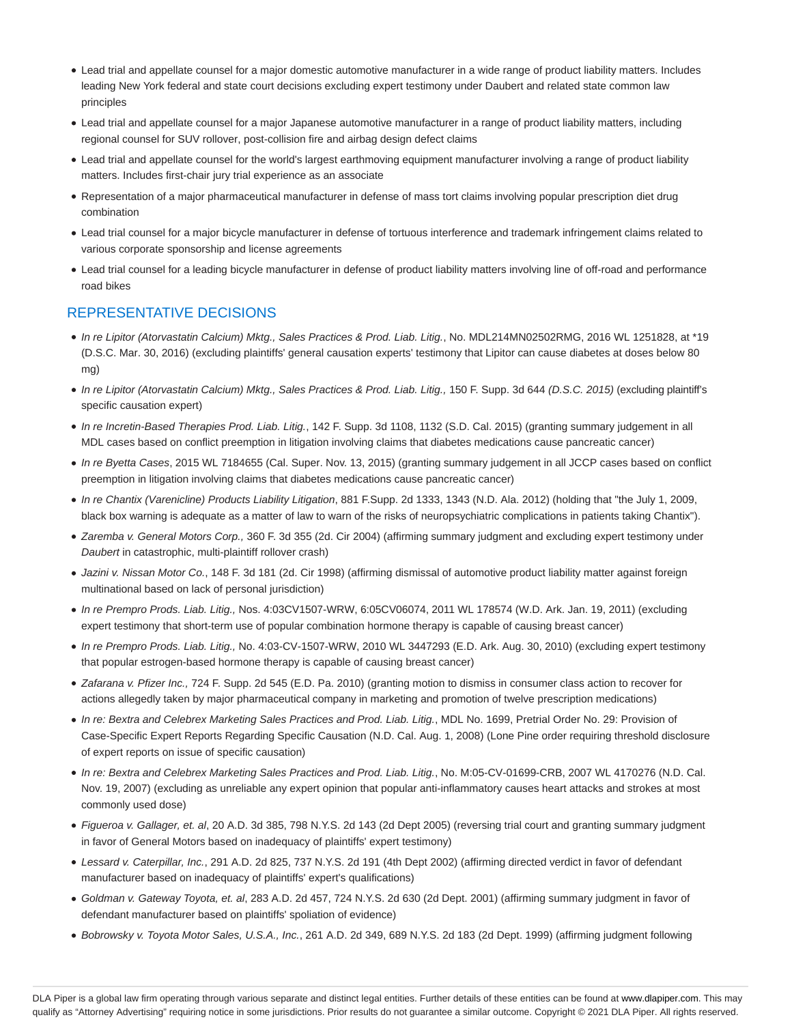- Lead trial and appellate counsel for a major domestic automotive manufacturer in a wide range of product liability matters. Includes leading New York federal and state court decisions excluding expert testimony under Daubert and related state common law principles
- Lead trial and appellate counsel for a major Japanese automotive manufacturer in a range of product liability matters, including regional counsel for SUV rollover, post-collision fire and airbag design defect claims
- Lead trial and appellate counsel for the world's largest earthmoving equipment manufacturer involving a range of product liability matters. Includes first-chair jury trial experience as an associate
- Representation of a major pharmaceutical manufacturer in defense of mass tort claims involving popular prescription diet drug combination
- Lead trial counsel for a major bicycle manufacturer in defense of tortuous interference and trademark infringement claims related to various corporate sponsorship and license agreements
- Lead trial counsel for a leading bicycle manufacturer in defense of product liability matters involving line of off-road and performance road bikes

# REPRESENTATIVE DECISIONS

- In re Lipitor (Atorvastatin Calcium) Mktg., Sales Practices & Prod. Liab. Litig., No. MDL214MN02502RMG, 2016 WL 1251828, at \*19 (D.S.C. Mar. 30, 2016) (excluding plaintiffs' general causation experts' testimony that Lipitor can cause diabetes at doses below 80 mg)
- · In re Lipitor (Atorvastatin Calcium) Mktg., Sales Practices & Prod. Liab. Litig., 150 F. Supp. 3d 644 (D.S.C. 2015) (excluding plaintiff's specific causation expert)
- In re Incretin-Based Therapies Prod. Liab. Litig., 142 F. Supp. 3d 1108, 1132 (S.D. Cal. 2015) (granting summary judgement in all MDL cases based on conflict preemption in litigation involving claims that diabetes medications cause pancreatic cancer)
- In re Byetta Cases, 2015 WL 7184655 (Cal. Super. Nov. 13, 2015) (granting summary judgement in all JCCP cases based on conflict preemption in litigation involving claims that diabetes medications cause pancreatic cancer)
- In re Chantix (Varenicline) Products Liability Litigation, 881 F.Supp. 2d 1333, 1343 (N.D. Ala. 2012) (holding that "the July 1, 2009, black box warning is adequate as a matter of law to warn of the risks of neuropsychiatric complications in patients taking Chantix").
- Zaremba v. General Motors Corp., 360 F. 3d 355 (2d. Cir 2004) (affirming summary judgment and excluding expert testimony under Daubert in catastrophic, multi-plaintiff rollover crash)
- Jazini v. Nissan Motor Co., 148 F. 3d 181 (2d. Cir 1998) (affirming dismissal of automotive product liability matter against foreign multinational based on lack of personal jurisdiction)
- In re Prempro Prods. Liab. Litig., Nos. 4:03CV1507-WRW, 6:05CV06074, 2011 WL 178574 (W.D. Ark. Jan. 19, 2011) (excluding expert testimony that short-term use of popular combination hormone therapy is capable of causing breast cancer)
- In re Prempro Prods. Liab. Litig., No. 4:03-CV-1507-WRW, 2010 WL 3447293 (E.D. Ark. Aug. 30, 2010) (excluding expert testimony that popular estrogen-based hormone therapy is capable of causing breast cancer)
- Zafarana v. Pfizer Inc., 724 F. Supp. 2d 545 (E.D. Pa. 2010) (granting motion to dismiss in consumer class action to recover for actions allegedly taken by major pharmaceutical company in marketing and promotion of twelve prescription medications)
- In re: Bextra and Celebrex Marketing Sales Practices and Prod. Liab. Litig., MDL No. 1699, Pretrial Order No. 29: Provision of Case-Specific Expert Reports Regarding Specific Causation (N.D. Cal. Aug. 1, 2008) (Lone Pine order requiring threshold disclosure of expert reports on issue of specific causation)
- In re: Bextra and Celebrex Marketing Sales Practices and Prod. Liab. Litig., No. M:05-CV-01699-CRB, 2007 WL 4170276 (N.D. Cal. Nov. 19, 2007) (excluding as unreliable any expert opinion that popular anti-inflammatory causes heart attacks and strokes at most commonly used dose)
- Figueroa v. Gallager, et. al, 20 A.D. 3d 385, 798 N.Y.S. 2d 143 (2d Dept 2005) (reversing trial court and granting summary judgment in favor of General Motors based on inadequacy of plaintiffs' expert testimony)
- Lessard v. Caterpillar, Inc., 291 A.D. 2d 825, 737 N.Y.S. 2d 191 (4th Dept 2002) (affirming directed verdict in favor of defendant manufacturer based on inadequacy of plaintiffs' expert's qualifications)
- Goldman v. Gateway Toyota, et. al, 283 A.D. 2d 457, 724 N.Y.S. 2d 630 (2d Dept. 2001) (affirming summary judgment in favor of defendant manufacturer based on plaintiffs' spoliation of evidence)
- Bobrowsky v. Toyota Motor Sales, U.S.A., Inc., 261 A.D. 2d 349, 689 N.Y.S. 2d 183 (2d Dept. 1999) (affirming judgment following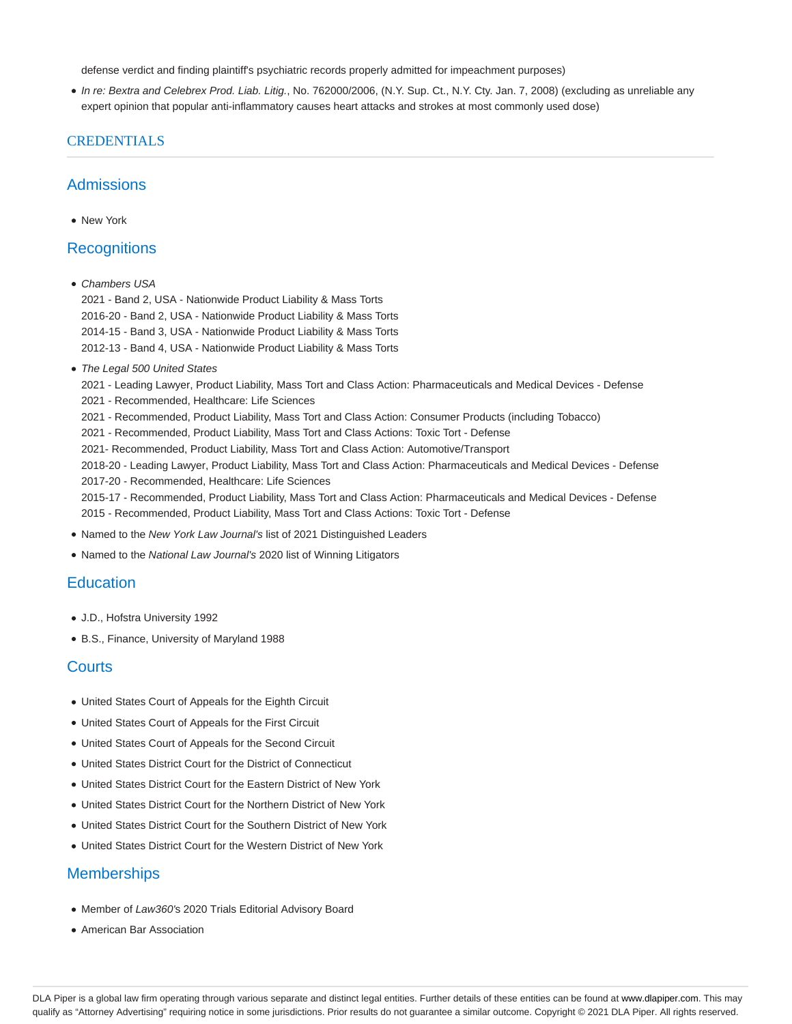defense verdict and finding plaintiff's psychiatric records properly admitted for impeachment purposes)

In re: Bextra and Celebrex Prod. Liab. Litig., No. 762000/2006, (N.Y. Sup. Ct., N.Y. Cty. Jan. 7, 2008) (excluding as unreliable any expert opinion that popular anti-inflammatory causes heart attacks and strokes at most commonly used dose)

#### **CREDENTIALS**

### Admissions

New York

## **Recognitions**

• Chambers USA

2021 - Band 2, USA - Nationwide Product Liability & Mass Torts 2016-20 - Band 2, USA - Nationwide Product Liability & Mass Torts 2014-15 - Band 3, USA - Nationwide Product Liability & Mass Torts 2012-13 - Band 4, USA - Nationwide Product Liability & Mass Torts

• The Legal 500 United States

2021 - Leading Lawyer, Product Liability, Mass Tort and Class Action: Pharmaceuticals and Medical Devices - Defense 2021 - Recommended, Healthcare: Life Sciences

- 2021 Recommended, Product Liability, Mass Tort and Class Action: Consumer Products (including Tobacco)
- 2021 Recommended, Product Liability, Mass Tort and Class Actions: Toxic Tort Defense
- 2021- Recommended, Product Liability, Mass Tort and Class Action: Automotive/Transport

2018-20 - Leading Lawyer, Product Liability, Mass Tort and Class Action: Pharmaceuticals and Medical Devices - Defense 2017-20 - Recommended, Healthcare: Life Sciences

2015-17 - Recommended, Product Liability, Mass Tort and Class Action: Pharmaceuticals and Medical Devices - Defense 2015 - Recommended, Product Liability, Mass Tort and Class Actions: Toxic Tort - Defense

- Named to the New York Law Journal's list of 2021 Distinguished Leaders
- Named to the National Law Journal's 2020 list of Winning Litigators

## **Education**

- J.D., Hofstra University 1992
- B.S., Finance, University of Maryland 1988

#### **Courts**

- United States Court of Appeals for the Eighth Circuit
- United States Court of Appeals for the First Circuit
- United States Court of Appeals for the Second Circuit
- United States District Court for the District of Connecticut
- United States District Court for the Eastern District of New York
- United States District Court for the Northern District of New York
- United States District Court for the Southern District of New York
- United States District Court for the Western District of New York

## **Memberships**

- Member of Law360's 2020 Trials Editorial Advisory Board
- American Bar Association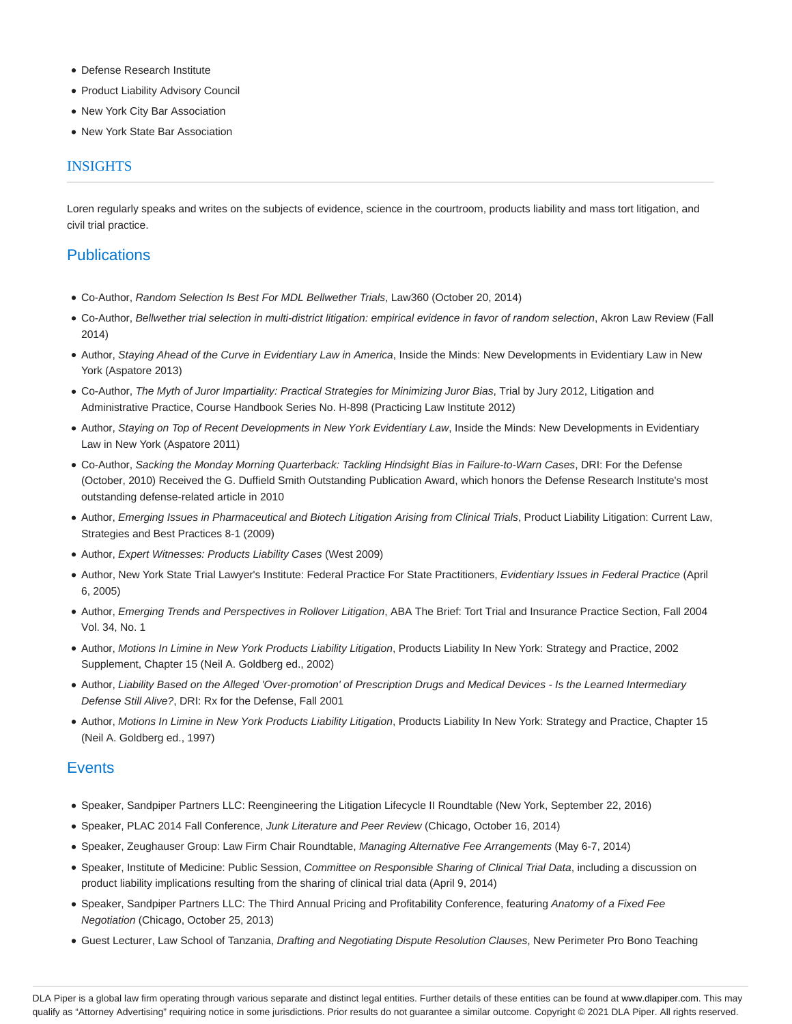- Defense Research Institute
- Product Liability Advisory Council
- New York City Bar Association
- New York State Bar Association

#### INSIGHTS

Loren regularly speaks and writes on the subjects of evidence, science in the courtroom, products liability and mass tort litigation, and civil trial practice.

# **Publications**

- Co-Author, Random Selection Is Best For MDL Bellwether Trials, Law360 (October 20, 2014)
- Co-Author, Bellwether trial selection in multi-district litigation: empirical evidence in favor of random selection, Akron Law Review (Fall 2014)
- Author, Staying Ahead of the Curve in Evidentiary Law in America, Inside the Minds: New Developments in Evidentiary Law in New York (Aspatore 2013)
- Co-Author, The Myth of Juror Impartiality: Practical Strategies for Minimizing Juror Bias, Trial by Jury 2012, Litigation and Administrative Practice, Course Handbook Series No. H-898 (Practicing Law Institute 2012)
- Author, Staying on Top of Recent Developments in New York Evidentiary Law, Inside the Minds: New Developments in Evidentiary Law in New York (Aspatore 2011)
- Co-Author, Sacking the Monday Morning Quarterback: Tackling Hindsight Bias in Failure-to-Warn Cases, DRI: For the Defense (October, 2010) Received the G. Duffield Smith Outstanding Publication Award, which honors the Defense Research Institute's most outstanding defense-related article in 2010
- Author, Emerging Issues in Pharmaceutical and Biotech Litigation Arising from Clinical Trials, Product Liability Litigation: Current Law, Strategies and Best Practices 8-1 (2009)
- Author, Expert Witnesses: Products Liability Cases (West 2009)
- · Author, New York State Trial Lawyer's Institute: Federal Practice For State Practitioners, Evidentiary Issues in Federal Practice (April 6, 2005)
- Author, Emerging Trends and Perspectives in Rollover Litigation, ABA The Brief: Tort Trial and Insurance Practice Section, Fall 2004 Vol. 34, No. 1
- Author, Motions In Limine in New York Products Liability Litigation, Products Liability In New York: Strategy and Practice, 2002 Supplement, Chapter 15 (Neil A. Goldberg ed., 2002)
- Author, Liability Based on the Alleged 'Over-promotion' of Prescription Drugs and Medical Devices Is the Learned Intermediary Defense Still Alive?, DRI: Rx for the Defense, Fall 2001
- Author, Motions In Limine in New York Products Liability Litigation, Products Liability In New York: Strategy and Practice, Chapter 15 (Neil A. Goldberg ed., 1997)

## **Events**

- Speaker, Sandpiper Partners LLC: Reengineering the Litigation Lifecycle II Roundtable (New York, September 22, 2016)
- Speaker, PLAC 2014 Fall Conference, Junk Literature and Peer Review (Chicago, October 16, 2014)
- Speaker, Zeughauser Group: Law Firm Chair Roundtable, Managing Alternative Fee Arrangements (May 6-7, 2014)
- Speaker, Institute of Medicine: Public Session, Committee on Responsible Sharing of Clinical Trial Data, including a discussion on product liability implications resulting from the sharing of clinical trial data (April 9, 2014)
- Speaker, Sandpiper Partners LLC: The Third Annual Pricing and Profitability Conference, featuring Anatomy of a Fixed Fee Negotiation (Chicago, October 25, 2013)
- Guest Lecturer, Law School of Tanzania, Drafting and Negotiating Dispute Resolution Clauses, New Perimeter Pro Bono Teaching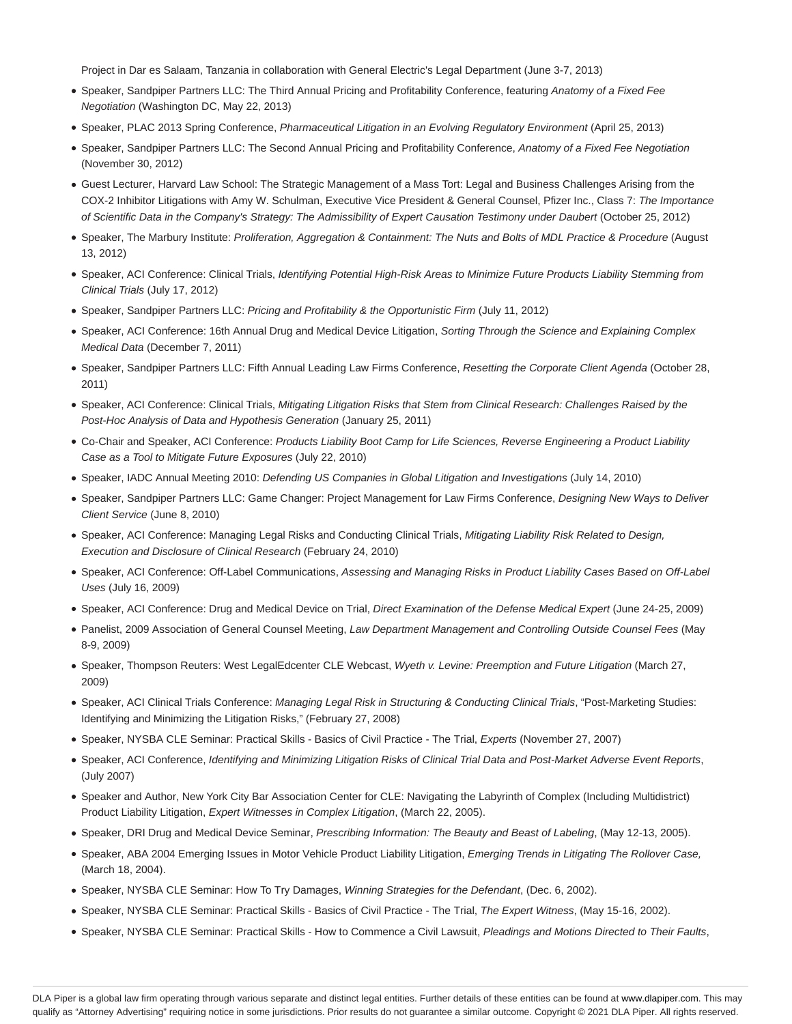Project in Dar es Salaam, Tanzania in collaboration with General Electric's Legal Department (June 3-7, 2013)

- Speaker, Sandpiper Partners LLC: The Third Annual Pricing and Profitability Conference, featuring Anatomy of a Fixed Fee Negotiation (Washington DC, May 22, 2013)
- Speaker, PLAC 2013 Spring Conference, Pharmaceutical Litigation in an Evolving Regulatory Environment (April 25, 2013)
- Speaker, Sandpiper Partners LLC: The Second Annual Pricing and Profitability Conference, Anatomy of a Fixed Fee Negotiation (November 30, 2012)
- Guest Lecturer, Harvard Law School: The Strategic Management of a Mass Tort: Legal and Business Challenges Arising from the COX-2 Inhibitor Litigations with Amy W. Schulman, Executive Vice President & General Counsel, Pfizer Inc., Class 7: The Importance of Scientific Data in the Company's Strategy: The Admissibility of Expert Causation Testimony under Daubert (October 25, 2012)
- Speaker, The Marbury Institute: Proliferation, Aggregation & Containment: The Nuts and Bolts of MDL Practice & Procedure (August 13, 2012)
- · Speaker, ACI Conference: Clinical Trials, Identifying Potential High-Risk Areas to Minimize Future Products Liability Stemming from Clinical Trials (July 17, 2012)
- Speaker, Sandpiper Partners LLC: Pricing and Profitability & the Opportunistic Firm (July 11, 2012)
- Speaker, ACI Conference: 16th Annual Drug and Medical Device Litigation, Sorting Through the Science and Explaining Complex Medical Data (December 7, 2011)
- Speaker, Sandpiper Partners LLC: Fifth Annual Leading Law Firms Conference, Resetting the Corporate Client Agenda (October 28, 2011)
- Speaker, ACI Conference: Clinical Trials, Mitigating Litigation Risks that Stem from Clinical Research: Challenges Raised by the Post-Hoc Analysis of Data and Hypothesis Generation (January 25, 2011)
- Co-Chair and Speaker, ACI Conference: Products Liability Boot Camp for Life Sciences, Reverse Engineering a Product Liability Case as a Tool to Mitigate Future Exposures (July 22, 2010)
- Speaker, IADC Annual Meeting 2010: Defending US Companies in Global Litigation and Investigations (July 14, 2010)
- Speaker, Sandpiper Partners LLC: Game Changer: Project Management for Law Firms Conference, Designing New Ways to Deliver Client Service (June 8, 2010)
- Speaker, ACI Conference: Managing Legal Risks and Conducting Clinical Trials, Mitigating Liability Risk Related to Design, Execution and Disclosure of Clinical Research (February 24, 2010)
- Speaker, ACI Conference: Off-Label Communications, Assessing and Managing Risks in Product Liability Cases Based on Off-Label Uses (July 16, 2009)
- Speaker, ACI Conference: Drug and Medical Device on Trial, Direct Examination of the Defense Medical Expert (June 24-25, 2009)
- Panelist, 2009 Association of General Counsel Meeting, Law Department Management and Controlling Outside Counsel Fees (May 8-9, 2009)
- · Speaker, Thompson Reuters: West LegalEdcenter CLE Webcast, Wyeth v. Levine: Preemption and Future Litigation (March 27, 2009)
- . Speaker, ACI Clinical Trials Conference: Managing Legal Risk in Structuring & Conducting Clinical Trials, "Post-Marketing Studies: Identifying and Minimizing the Litigation Risks," (February 27, 2008)
- · Speaker, NYSBA CLE Seminar: Practical Skills Basics of Civil Practice The Trial, Experts (November 27, 2007)
- Speaker, ACI Conference, Identifying and Minimizing Litigation Risks of Clinical Trial Data and Post-Market Adverse Event Reports, (July 2007)
- Speaker and Author, New York City Bar Association Center for CLE: Navigating the Labyrinth of Complex (Including Multidistrict) Product Liability Litigation, Expert Witnesses in Complex Litigation, (March 22, 2005).
- Speaker, DRI Drug and Medical Device Seminar, Prescribing Information: The Beauty and Beast of Labeling, (May 12-13, 2005).
- Speaker, ABA 2004 Emerging Issues in Motor Vehicle Product Liability Litigation, Emerging Trends in Litigating The Rollover Case, (March 18, 2004).
- Speaker, NYSBA CLE Seminar: How To Try Damages, Winning Strategies for the Defendant, (Dec. 6, 2002).
- · Speaker, NYSBA CLE Seminar: Practical Skills Basics of Civil Practice The Trial, The Expert Witness, (May 15-16, 2002).
- · Speaker, NYSBA CLE Seminar: Practical Skills How to Commence a Civil Lawsuit, Pleadings and Motions Directed to Their Faults,